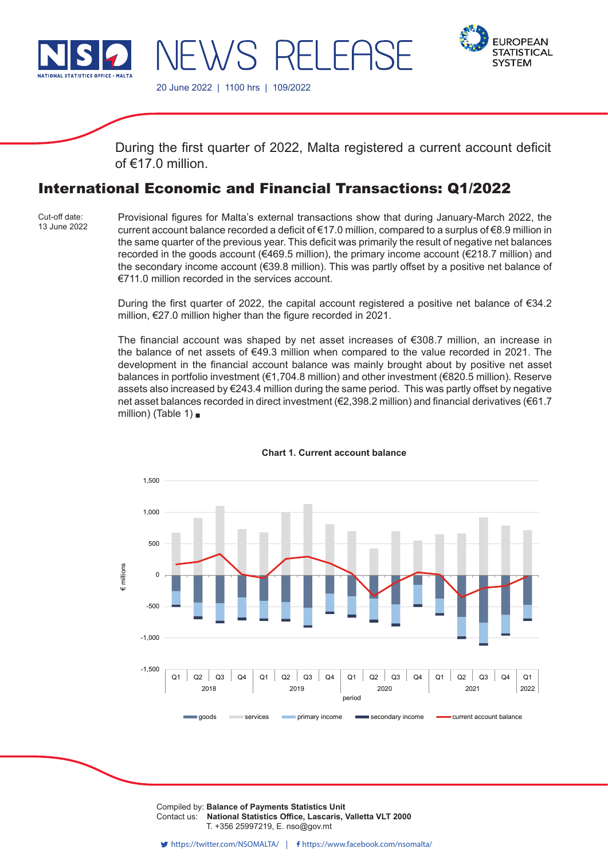

WS RELEAS

20 June 2022 | 1100 hrs | 109/2022



During the first quarter of 2022, Malta registered a current account deficit of  $f$  17.0 million

# International Economic and Financial Transactions: Q1/2022

Cut-off date: 13 June 2022 Provisional figures for Malta's external transactions show that during January-March 2022, the current account balance recorded a deficit of €17.0 million, compared to a surplus of €8.9 million in the same quarter of the previous year. This deficit was primarily the result of negative net balances recorded in the goods account (€469.5 million), the primary income account (€218.7 million) and the secondary income account (€39.8 million). This was partly offset by a positive net balance of €711.0 million recorded in the services account.

During the first quarter of 2022, the capital account registered a positive net balance of €34.2 million, €27.0 million higher than the figure recorded in 2021.

The financial account was shaped by net asset increases of €308.7 million, an increase in the balance of net assets of €49.3 million when compared to the value recorded in 2021. The development in the financial account balance was mainly brought about by positive net asset balances in portfolio investment (€1,704.8 million) and other investment (€820.5 million). Reserve assets also increased by €243.4 million during the same period. This was partly offset by negative net asset balances recorded in direct investment (€2,398.2 million) and financial derivatives (€61.7 million) (Table 1) .



#### **Chart 1. Current account balance**

Compiled by: Balance of Payments Statistics Unit Contact us: National Statistics Office, Lascaris, Valletta VLT 2000 Issued by: **Dissemination Unit, National Statistics Office, Lascaris, Valletta VLT 2000, Malta.** T. +356 25997219, E. nso@gov.mt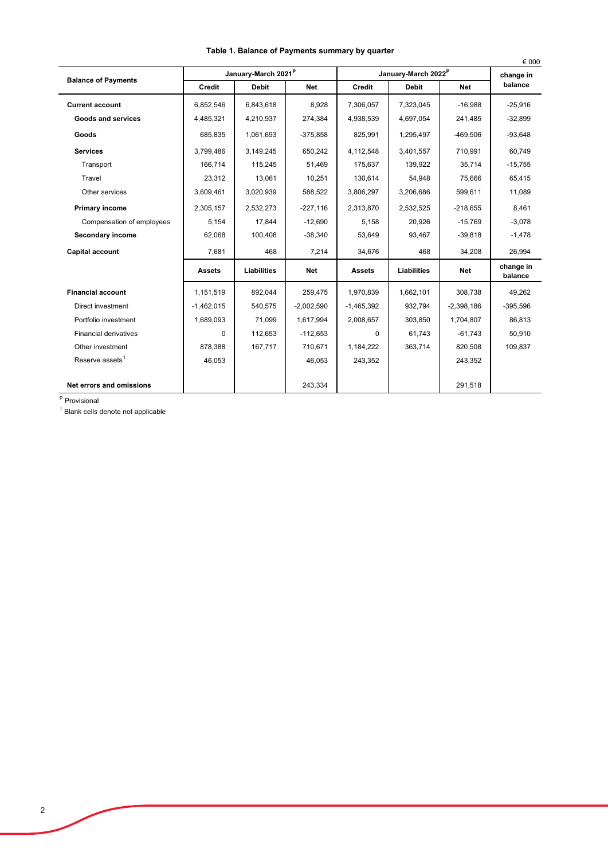|                              |               |                                 |              |               |                                 |              | € 000                |  |
|------------------------------|---------------|---------------------------------|--------------|---------------|---------------------------------|--------------|----------------------|--|
| <b>Balance of Payments</b>   |               | January-March 2021 <sup>P</sup> |              |               | January-March 2022 <sup>P</sup> |              |                      |  |
|                              | <b>Credit</b> | <b>Debit</b>                    | <b>Net</b>   | <b>Credit</b> | <b>Debit</b>                    | <b>Net</b>   | balance              |  |
| <b>Current account</b>       | 6.852.546     | 6.843.618                       | 8.928        | 7,306,057     | 7,323,045                       | $-16.988$    | $-25,916$            |  |
| Goods and services           | 4,485,321     | 4,210,937                       | 274,384      | 4,938,539     | 4,697,054                       | 241,485      | $-32,899$            |  |
| Goods                        | 685,835       | 1,061,693                       | $-375,858$   | 825,991       | 1,295,497                       | $-469,506$   | $-93,648$            |  |
| <b>Services</b>              | 3,799,486     | 3,149,245                       | 650,242      | 4,112,548     | 3,401,557                       | 710,991      | 60,749               |  |
| Transport                    | 166.714       | 115,245                         | 51,469       | 175,637       | 139,922                         | 35,714       | $-15,755$            |  |
| Travel                       | 23,312        | 13,061                          | 10,251       | 130.614       | 54,948                          | 75,666       | 65,415               |  |
| Other services               | 3,609,461     | 3,020,939                       | 588,522      | 3,806,297     | 3,206,686                       | 599,611      | 11,089               |  |
| Primary income               | 2,305,157     | 2,532,273                       | $-227,116$   | 2,313,870     | 2,532,525                       | $-218,655$   | 8,461                |  |
| Compensation of employees    | 5,154         | 17.844                          | $-12,690$    | 5,158         | 20,926                          | $-15,769$    | $-3,078$             |  |
| Secondary income             | 62,068        | 100,408                         | $-38,340$    | 53,649        | 93,467                          | $-39,818$    | $-1,478$             |  |
| <b>Capital account</b>       | 7,681         | 468                             | 7,214        | 34,676        | 468                             | 34,208       | 26,994               |  |
|                              | <b>Assets</b> | Liabilities                     | <b>Net</b>   | <b>Assets</b> | Liabilities                     | <b>Net</b>   | change in<br>balance |  |
| <b>Financial account</b>     | 1,151,519     | 892,044                         | 259,475      | 1,970,839     | 1,662,101                       | 308.738      | 49,262               |  |
| Direct investment            | $-1,462,015$  | 540,575                         | $-2,002,590$ | $-1,465,392$  | 932,794                         | $-2,398,186$ | $-395,596$           |  |
| Portfolio investment         | 1,689,093     | 71,099                          | 1,617,994    | 2,008,657     | 303,850                         | 1,704,807    | 86,813               |  |
| <b>Financial derivatives</b> | $\Omega$      | 112,653                         | $-112,653$   | $\Omega$      | 61,743                          | $-61,743$    | 50,910               |  |
| Other investment             | 878,388       | 167,717                         | 710,671      | 1,184,222     | 363.714                         | 820,508      | 109,837              |  |
| Reserve assets <sup>1</sup>  | 46,053        |                                 | 46,053       | 243,352       |                                 | 243,352      |                      |  |
|                              |               |                                 |              |               |                                 |              |                      |  |
| Net errors and omissions     |               |                                 | 243,334      |               |                                 | 291,518      |                      |  |

## **Table 1. Balance of Payments summary by quarter**

<sup>P</sup> Provisional

<sup>1</sup> Blank cells denote not applicable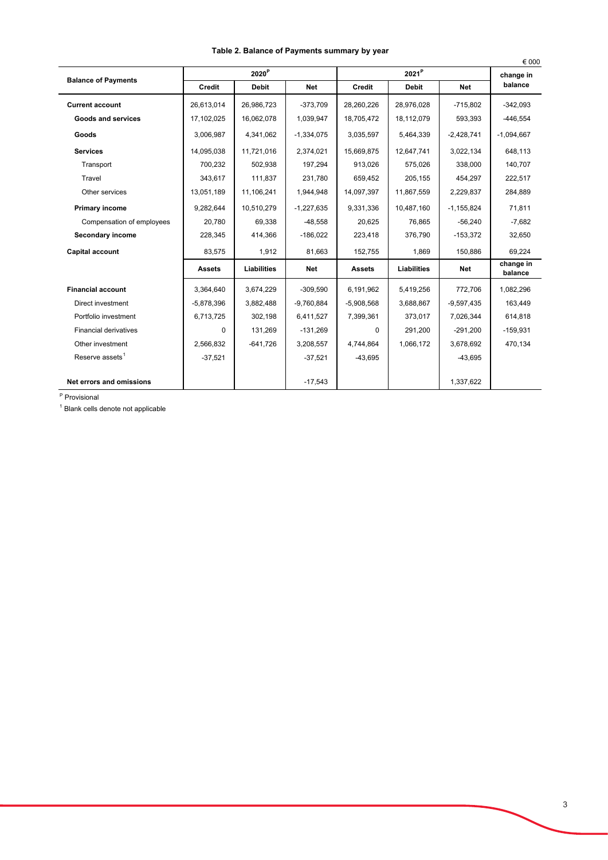|                              |               |                      |              |                   |              |              | € 000                |
|------------------------------|---------------|----------------------|--------------|-------------------|--------------|--------------|----------------------|
| <b>Balance of Payments</b>   |               | ${\bf 2020}^{\sf P}$ |              | 2021 <sup>P</sup> |              |              | change in            |
|                              | Credit        | <b>Debit</b>         | <b>Net</b>   | <b>Credit</b>     | <b>Debit</b> | <b>Net</b>   | balance              |
| <b>Current account</b>       | 26,613,014    | 26,986,723           | $-373,709$   | 28,260,226        | 28,976,028   | $-715,802$   | $-342,093$           |
| <b>Goods and services</b>    | 17,102,025    | 16,062,078           | 1,039,947    | 18,705,472        | 18,112,079   | 593,393      | $-446,554$           |
| Goods                        | 3.006.987     | 4.341.062            | $-1,334,075$ | 3,035,597         | 5,464,339    | $-2,428,741$ | $-1,094,667$         |
| <b>Services</b>              | 14,095,038    | 11,721,016           | 2,374,021    | 15,669,875        | 12,647,741   | 3,022,134    | 648,113              |
| Transport                    | 700,232       | 502,938              | 197,294      | 913.026           | 575,026      | 338,000      | 140,707              |
| Travel                       | 343,617       | 111,837              | 231,780      | 659,452           | 205,155      | 454,297      | 222,517              |
| Other services               | 13,051,189    | 11,106,241           | 1,944,948    | 14,097,397        | 11,867,559   | 2,229,837    | 284,889              |
| Primary income               | 9.282.644     | 10,510,279           | $-1,227,635$ | 9,331,336         | 10,487,160   | $-1,155,824$ | 71,811               |
| Compensation of employees    | 20.780        | 69,338               | $-48.558$    | 20.625            | 76.865       | $-56,240$    | $-7,682$             |
| Secondary income             | 228,345       | 414,366              | $-186,022$   | 223,418           | 376,790      | $-153,372$   | 32,650               |
| <b>Capital account</b>       | 83,575        | 1,912                | 81,663       | 152,755           | 1,869        | 150,886      | 69,224               |
|                              | <b>Assets</b> | Liabilities          | Net          | <b>Assets</b>     | Liabilities  | <b>Net</b>   | change in<br>balance |
| <b>Financial account</b>     | 3,364,640     | 3,674,229            | $-309,590$   | 6,191,962         | 5,419,256    | 772,706      | 1,082,296            |
| Direct investment            | $-5,878,396$  | 3,882,488            | $-9.760.884$ | $-5,908,568$      | 3,688,867    | $-9,597,435$ | 163,449              |
| Portfolio investment         | 6,713,725     | 302,198              | 6,411,527    | 7,399,361         | 373,017      | 7,026,344    | 614,818              |
| <b>Financial derivatives</b> | $\Omega$      | 131,269              | $-131,269$   | $\Omega$          | 291,200      | $-291,200$   | $-159,931$           |
| Other investment             | 2,566,832     | $-641,726$           | 3,208,557    | 4,744,864         | 1,066,172    | 3,678,692    | 470,134              |
| Reserve assets <sup>1</sup>  | $-37,521$     |                      | $-37,521$    | $-43,695$         |              | $-43,695$    |                      |
| Net errors and omissions     |               |                      | $-17,543$    |                   |              | 1,337,622    |                      |

## **Table 2. Balance of Payments summary by year**

<sup>P</sup> Provisional

<sup>1</sup> Blank cells denote not applicable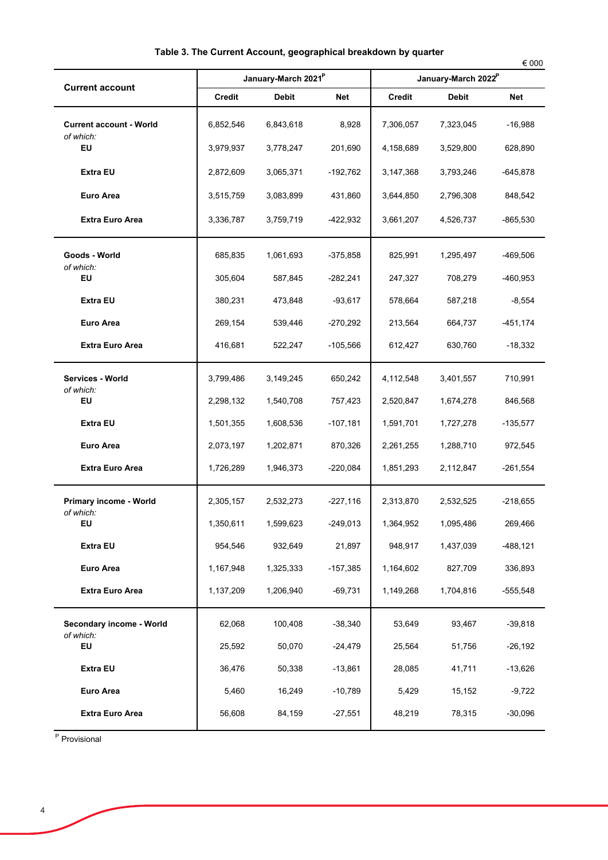| <b>Current account</b>                      |           | January-March 2021 <sup>P</sup> |            | January-March 2022 <sup>P</sup> |              |            |  |
|---------------------------------------------|-----------|---------------------------------|------------|---------------------------------|--------------|------------|--|
|                                             | Credit    | <b>Debit</b>                    | Net        | <b>Credit</b>                   | <b>Debit</b> | Net        |  |
| <b>Current account - World</b><br>of which: | 6,852,546 | 6,843,618                       | 8,928      | 7,306,057                       | 7,323,045    | -16,988    |  |
| EU                                          | 3,979,937 | 3,778,247                       | 201,690    | 4,158,689                       | 3,529,800    | 628,890    |  |
| <b>Extra EU</b>                             | 2,872,609 | 3,065,371                       | $-192,762$ | 3,147,368                       | 3,793,246    | $-645,878$ |  |
| <b>Euro Area</b>                            | 3,515,759 | 3,083,899                       | 431,860    | 3,644,850                       | 2,796,308    | 848,542    |  |
| <b>Extra Euro Area</b>                      | 3,336,787 | 3,759,719                       | $-422,932$ | 3,661,207                       | 4,526,737    | $-865,530$ |  |
| Goods - World<br>of which:                  | 685,835   | 1,061,693                       | $-375,858$ | 825,991                         | 1,295,497    | -469,506   |  |
| EU                                          | 305,604   | 587,845                         | $-282,241$ | 247,327                         | 708,279      | -460,953   |  |
| Extra EU                                    | 380,231   | 473,848                         | $-93,617$  | 578,664                         | 587,218      | $-8,554$   |  |
| Euro Area                                   | 269,154   | 539,446                         | $-270,292$ | 213,564                         | 664,737      | $-451,174$ |  |
| <b>Extra Euro Area</b>                      | 416,681   | 522,247                         | $-105,566$ | 612,427                         | 630,760      | $-18,332$  |  |
| Services - World<br>of which:               | 3,799,486 | 3,149,245                       | 650,242    | 4,112,548                       | 3,401,557    | 710,991    |  |
| EU                                          | 2,298,132 | 1,540,708                       | 757,423    | 2,520,847                       | 1,674,278    | 846,568    |  |
| <b>Extra EU</b>                             | 1,501,355 | 1,608,536                       | $-107,181$ | 1,591,701                       | 1,727,278    | $-135,577$ |  |
| Euro Area                                   | 2,073,197 | 1,202,871                       | 870,326    | 2,261,255                       | 1,288,710    | 972,545    |  |
| <b>Extra Euro Area</b>                      | 1,726,289 | 1,946,373                       | $-220,084$ | 1,851,293                       | 2,112,847    | $-261,554$ |  |
| Primary income - World<br>of which:         | 2,305,157 | 2,532,273                       | $-227,116$ | 2,313,870                       | 2,532,525    | $-218,655$ |  |
| EU                                          | 1,350,611 | 1,599,623                       | $-249,013$ | 1,364,952                       | 1,095,486    | 269,466    |  |
| <b>Extra EU</b>                             | 954,546   | 932,649                         | 21,897     | 948,917                         | 1,437,039    | $-488,121$ |  |
| <b>Euro Area</b>                            | 1,167,948 | 1,325,333                       | $-157,385$ | 1,164,602                       | 827,709      | 336,893    |  |
| <b>Extra Euro Area</b>                      | 1,137,209 | 1,206,940                       | $-69,731$  | 1,149,268                       | 1,704,816    | $-555,548$ |  |
| Secondary income - World<br>of which:       | 62,068    | 100,408                         | $-38,340$  | 53,649                          | 93,467       | $-39,818$  |  |
| EU                                          | 25,592    | 50,070                          | $-24,479$  | 25,564                          | 51,756       | $-26,192$  |  |
| Extra EU                                    | 36,476    | 50,338                          | $-13,861$  | 28,085                          | 41,711       | $-13,626$  |  |
| Euro Area                                   | 5,460     | 16,249                          | $-10,789$  | 5,429                           | 15,152       | $-9,722$   |  |
| <b>Extra Euro Area</b>                      | 56,608    | 84,159                          | $-27,551$  | 48,219                          | 78,315       | $-30,096$  |  |

<sup>P</sup> Provisional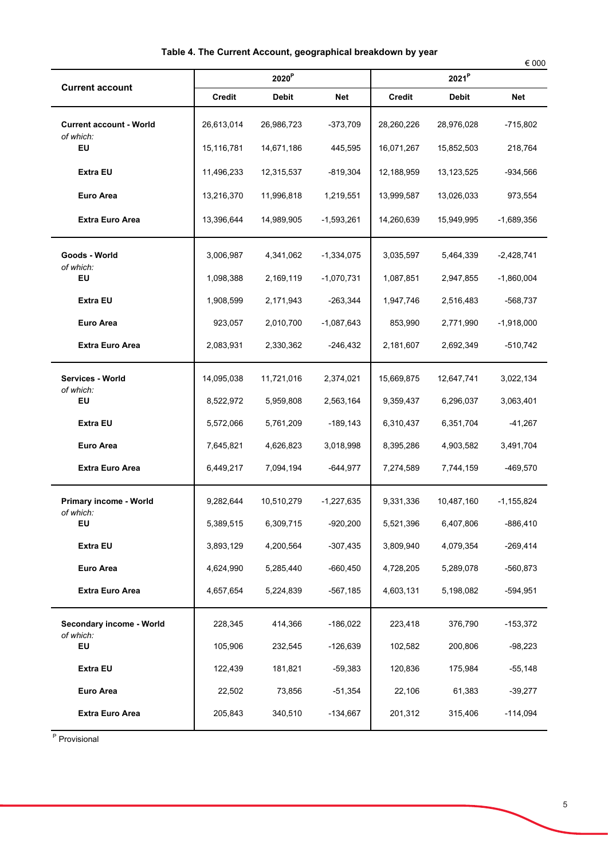|                                             |                   |            |              |            |              | € 000          |
|---------------------------------------------|-------------------|------------|--------------|------------|--------------|----------------|
|                                             | 2020 <sup>P</sup> |            |              |            |              |                |
| <b>Current account</b>                      | Credit            | Debit      | Net          | Credit     | <b>Debit</b> | Net            |
| <b>Current account - World</b><br>of which: | 26,613,014        | 26,986,723 | $-373,709$   | 28,260,226 | 28,976,028   | -715,802       |
| EU                                          | 15,116,781        | 14,671,186 | 445,595      | 16,071,267 | 15,852,503   | 218,764        |
| <b>Extra EU</b>                             | 11,496,233        | 12,315,537 | -819,304     | 12,188,959 | 13,123,525   | $-934,566$     |
| <b>Euro Area</b>                            | 13,216,370        | 11,996,818 | 1,219,551    | 13,999,587 | 13,026,033   | 973,554        |
| <b>Extra Euro Area</b>                      | 13,396,644        | 14,989,905 | $-1,593,261$ | 14,260,639 | 15,949,995   | $-1,689,356$   |
| Goods - World<br>of which:                  | 3,006,987         | 4,341,062  | $-1,334,075$ | 3,035,597  | 5,464,339    | $-2,428,741$   |
| EU                                          | 1,098,388         | 2,169,119  | $-1,070,731$ | 1,087,851  | 2,947,855    | $-1,860,004$   |
| <b>Extra EU</b>                             | 1,908,599         | 2,171,943  | $-263,344$   | 1,947,746  | 2,516,483    | -568,737       |
| Euro Area                                   | 923,057           | 2,010,700  | $-1,087,643$ | 853,990    | 2,771,990    | $-1,918,000$   |
| <b>Extra Euro Area</b>                      | 2,083,931         | 2,330,362  | $-246,432$   | 2,181,607  | 2,692,349    | $-510,742$     |
| Services - World<br>of which:               | 14,095,038        | 11,721,016 | 2,374,021    | 15,669,875 | 12,647,741   | 3,022,134      |
| EU                                          | 8,522,972         | 5,959,808  | 2,563,164    | 9,359,437  | 6,296,037    | 3,063,401      |
| <b>Extra EU</b>                             | 5,572,066         | 5,761,209  | $-189,143$   | 6,310,437  | 6,351,704    | $-41,267$      |
| Euro Area                                   | 7,645,821         | 4,626,823  | 3,018,998    | 8,395,286  | 4,903,582    | 3,491,704      |
| <b>Extra Euro Area</b>                      | 6,449,217         | 7,094,194  | $-644,977$   | 7,274,589  | 7,744,159    | $-469,570$     |
| Primary income - World<br>of which:         | 9,282,644         | 10,510,279 | $-1,227,635$ | 9,331,336  | 10,487,160   | $-1, 155, 824$ |
| EU                                          | 5,389,515         | 6,309,715  | $-920,200$   | 5,521,396  | 6,407,806    | $-886,410$     |
| <b>Extra EU</b>                             | 3,893,129         | 4,200,564  | $-307,435$   | 3,809,940  | 4,079,354    | $-269,414$     |
| <b>Euro Area</b>                            | 4,624,990         | 5,285,440  | $-660,450$   | 4,728,205  | 5,289,078    | $-560,873$     |
| <b>Extra Euro Area</b>                      | 4,657,654         | 5,224,839  | -567,185     | 4,603,131  | 5,198,082    | $-594,951$     |
| Secondary income - World<br>of which:       | 228,345           | 414,366    | $-186,022$   | 223,418    | 376,790      | $-153,372$     |
| EU                                          | 105,906           | 232,545    | $-126,639$   | 102,582    | 200,806      | $-98,223$      |
| <b>Extra EU</b>                             | 122,439           | 181,821    | $-59,383$    | 120,836    | 175,984      | $-55,148$      |
| <b>Euro Area</b>                            | 22,502            | 73,856     | $-51,354$    | 22,106     | 61,383       | $-39,277$      |
| <b>Extra Euro Area</b>                      | 205,843           | 340,510    | $-134,667$   | 201,312    | 315,406      | $-114,094$     |
|                                             |                   |            |              |            |              |                |

<sup>P</sup> Provisional